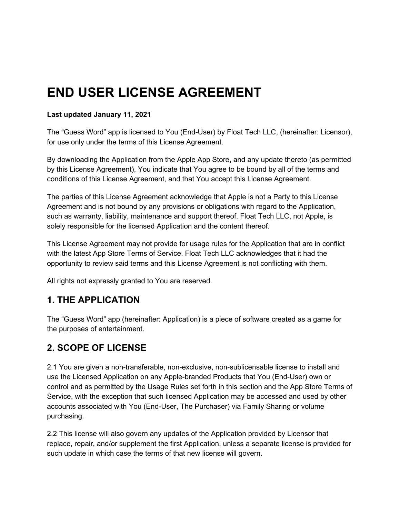# **END USER LICENSE AGREEMENT**

#### **Last updated January 11, 2021**

The "Guess Word" app is licensed to You (End-User) by Float Tech LLC, (hereinafter: Licensor), for use only under the terms of this License Agreement.

By downloading the Application from the Apple App Store, and any update thereto (as permitted by this License Agreement), You indicate that You agree to be bound by all of the terms and conditions of this License Agreement, and that You accept this License Agreement.

The parties of this License Agreement acknowledge that Apple is not a Party to this License Agreement and is not bound by any provisions or obligations with regard to the Application, such as warranty, liability, maintenance and support thereof. Float Tech LLC, not Apple, is solely responsible for the licensed Application and the content thereof.

This License Agreement may not provide for usage rules for the Application that are in conflict with the latest App Store Terms of Service. Float Tech LLC acknowledges that it had the opportunity to review said terms and this License Agreement is not conflicting with them.

All rights not expressly granted to You are reserved.

#### **1. THE APPLICATION**

The "Guess Word" app (hereinafter: Application) is a piece of software created as a game for the purposes of entertainment.

#### **2. SCOPE OF LICENSE**

2.1 You are given a non-transferable, non-exclusive, non-sublicensable license to install and use the Licensed Application on any Apple-branded Products that You (End-User) own or control and as permitted by the Usage Rules set forth in this section and the App Store Terms of Service, with the exception that such licensed Application may be accessed and used by other accounts associated with You (End-User, The Purchaser) via Family Sharing or volume purchasing.

2.2 This license will also govern any updates of the Application provided by Licensor that replace, repair, and/or supplement the first Application, unless a separate license is provided for such update in which case the terms of that new license will govern.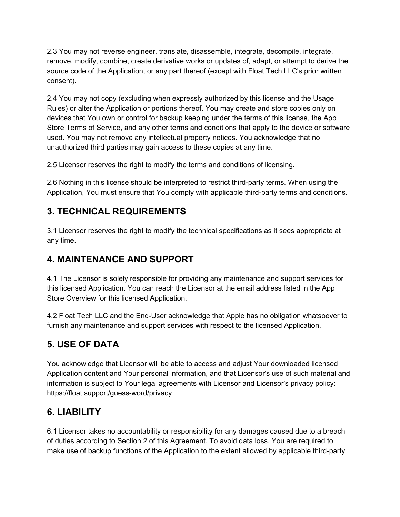2.3 You may not reverse engineer, translate, disassemble, integrate, decompile, integrate, remove, modify, combine, create derivative works or updates of, adapt, or attempt to derive the source code of the Application, or any part thereof (except with Float Tech LLC's prior written consent).

2.4 You may not copy (excluding when expressly authorized by this license and the Usage Rules) or alter the Application or portions thereof. You may create and store copies only on devices that You own or control for backup keeping under the terms of this license, the App Store Terms of Service, and any other terms and conditions that apply to the device or software used. You may not remove any intellectual property notices. You acknowledge that no unauthorized third parties may gain access to these copies at any time.

2.5 Licensor reserves the right to modify the terms and conditions of licensing.

2.6 Nothing in this license should be interpreted to restrict third-party terms. When using the Application, You must ensure that You comply with applicable third-party terms and conditions.

#### **3. TECHNICAL REQUIREMENTS**

3.1 Licensor reserves the right to modify the technical specifications as it sees appropriate at any time.

#### **4. MAINTENANCE AND SUPPORT**

4.1 The Licensor is solely responsible for providing any maintenance and support services for this licensed Application. You can reach the Licensor at the email address listed in the App Store Overview for this licensed Application.

4.2 Float Tech LLC and the End-User acknowledge that Apple has no obligation whatsoever to furnish any maintenance and support services with respect to the licensed Application.

# **5. USE OF DATA**

You acknowledge that Licensor will be able to access and adjust Your downloaded licensed Application content and Your personal information, and that Licensor's use of such material and information is subject to Your legal agreements with Licensor and Licensor's privacy policy: https://float.support/guess-word/privacy

#### **6. LIABILITY**

6.1 Licensor takes no accountability or responsibility for any damages caused due to a breach of duties according to Section 2 of this Agreement. To avoid data loss, You are required to make use of backup functions of the Application to the extent allowed by applicable third-party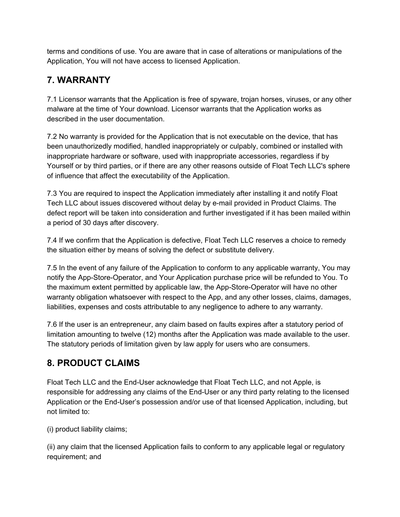terms and conditions of use. You are aware that in case of alterations or manipulations of the Application, You will not have access to licensed Application.

# **7. WARRANTY**

7.1 Licensor warrants that the Application is free of spyware, trojan horses, viruses, or any other malware at the time of Your download. Licensor warrants that the Application works as described in the user documentation.

7.2 No warranty is provided for the Application that is not executable on the device, that has been unauthorizedly modified, handled inappropriately or culpably, combined or installed with inappropriate hardware or software, used with inappropriate accessories, regardless if by Yourself or by third parties, or if there are any other reasons outside of Float Tech LLC's sphere of influence that affect the executability of the Application.

7.3 You are required to inspect the Application immediately after installing it and notify Float Tech LLC about issues discovered without delay by e-mail provided in Product Claims. The defect report will be taken into consideration and further investigated if it has been mailed within a period of 30 days after discovery.

7.4 If we confirm that the Application is defective, Float Tech LLC reserves a choice to remedy the situation either by means of solving the defect or substitute delivery.

7.5 In the event of any failure of the Application to conform to any applicable warranty, You may notify the App-Store-Operator, and Your Application purchase price will be refunded to You. To the maximum extent permitted by applicable law, the App-Store-Operator will have no other warranty obligation whatsoever with respect to the App, and any other losses, claims, damages, liabilities, expenses and costs attributable to any negligence to adhere to any warranty.

7.6 If the user is an entrepreneur, any claim based on faults expires after a statutory period of limitation amounting to twelve (12) months after the Application was made available to the user. The statutory periods of limitation given by law apply for users who are consumers.

# **8. PRODUCT CLAIMS**

Float Tech LLC and the End-User acknowledge that Float Tech LLC, and not Apple, is responsible for addressing any claims of the End-User or any third party relating to the licensed Application or the End-User's possession and/or use of that licensed Application, including, but not limited to:

(i) product liability claims;

(ii) any claim that the licensed Application fails to conform to any applicable legal or regulatory requirement; and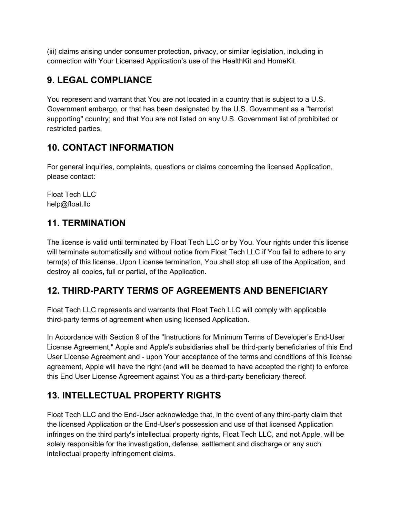(iii) claims arising under consumer protection, privacy, or similar legislation, including in connection with Your Licensed Application's use of the HealthKit and HomeKit.

# **9. LEGAL COMPLIANCE**

You represent and warrant that You are not located in a country that is subject to a U.S. Government embargo, or that has been designated by the U.S. Government as a "terrorist supporting" country; and that You are not listed on any U.S. Government list of prohibited or restricted parties.

# **10. CONTACT INFORMATION**

For general inquiries, complaints, questions or claims concerning the licensed Application, please contact:

Float Tech LLC help@float.llc

# **11. TERMINATION**

The license is valid until terminated by Float Tech LLC or by You. Your rights under this license will terminate automatically and without notice from Float Tech LLC if You fail to adhere to any term(s) of this license. Upon License termination, You shall stop all use of the Application, and destroy all copies, full or partial, of the Application.

# **12. THIRD-PARTY TERMS OF AGREEMENTS AND BENEFICIARY**

Float Tech LLC represents and warrants that Float Tech LLC will comply with applicable third-party terms of agreement when using licensed Application.

In Accordance with Section 9 of the "Instructions for Minimum Terms of Developer's End-User License Agreement," Apple and Apple's subsidiaries shall be third-party beneficiaries of this End User License Agreement and - upon Your acceptance of the terms and conditions of this license agreement, Apple will have the right (and will be deemed to have accepted the right) to enforce this End User License Agreement against You as a third-party beneficiary thereof.

# **13. INTELLECTUAL PROPERTY RIGHTS**

Float Tech LLC and the End-User acknowledge that, in the event of any third-party claim that the licensed Application or the End-User's possession and use of that licensed Application infringes on the third party's intellectual property rights, Float Tech LLC, and not Apple, will be solely responsible for the investigation, defense, settlement and discharge or any such intellectual property infringement claims.